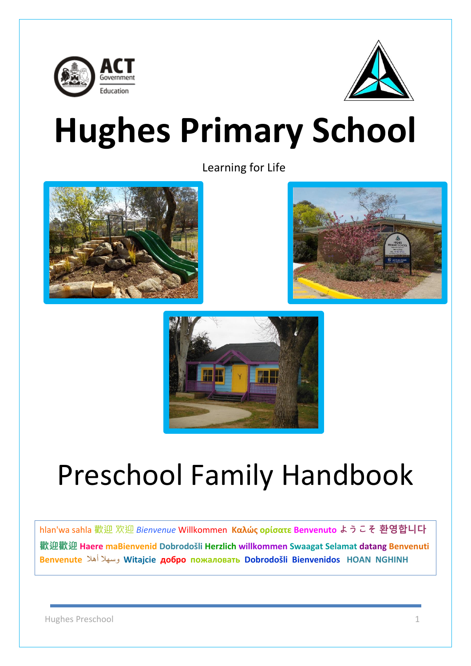



# **Hughes Primary School**

Learning for Life







# Preschool Family Handbook

hlan'wa sahla 歡迎 欢迎 *Bienvenue* Willkommen **Καλώς ορίσατε Benvenuto ようこそ 환영합니다 歡迎歡迎 Haere maBienvenid Dobrodošli Herzlich willkommen Swaagat Selamat datang Benvenuti Benvenute** أهال وسهال **Witajcie добро пожаловать Dobrodošli Bienvenidos HOAN NGHINH**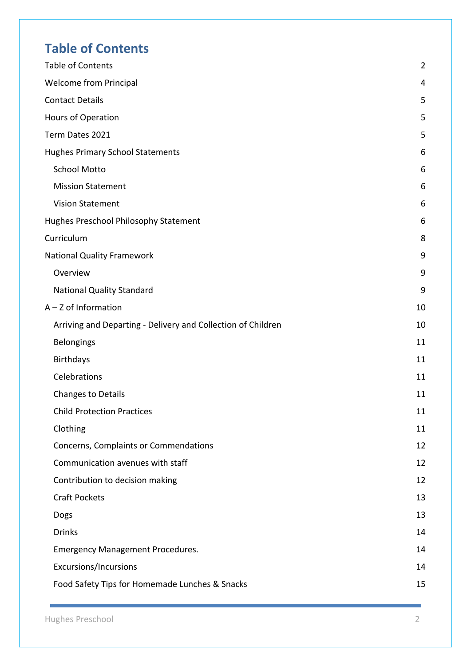# <span id="page-1-0"></span>**Table of Contents**

| Table of Contents                                            | $\overline{2}$ |
|--------------------------------------------------------------|----------------|
| <b>Welcome from Principal</b>                                | 4              |
| <b>Contact Details</b>                                       | 5              |
| Hours of Operation                                           | 5              |
| Term Dates 2021                                              | 5              |
| <b>Hughes Primary School Statements</b>                      | 6              |
| <b>School Motto</b>                                          | 6              |
| <b>Mission Statement</b>                                     | 6              |
| <b>Vision Statement</b>                                      | 6              |
| Hughes Preschool Philosophy Statement                        | 6              |
| Curriculum                                                   | 8              |
| <b>National Quality Framework</b>                            | 9              |
| Overview                                                     | 9              |
| <b>National Quality Standard</b>                             | 9              |
| $A - Z$ of Information                                       | 10             |
| Arriving and Departing - Delivery and Collection of Children | 10             |
| Belongings                                                   | 11             |
| <b>Birthdays</b>                                             | 11             |
| Celebrations                                                 | 11             |
| <b>Changes to Details</b>                                    | 11             |
| <b>Child Protection Practices</b>                            | 11             |
| Clothing                                                     | 11             |
| Concerns, Complaints or Commendations                        | 12             |
| Communication avenues with staff                             | 12             |
| Contribution to decision making                              | 12             |
| <b>Craft Pockets</b>                                         | 13             |
| Dogs                                                         | 13             |
| <b>Drinks</b>                                                | 14             |
| <b>Emergency Management Procedures.</b>                      | 14             |
| <b>Excursions/Incursions</b>                                 | 14             |
| Food Safety Tips for Homemade Lunches & Snacks               | 15             |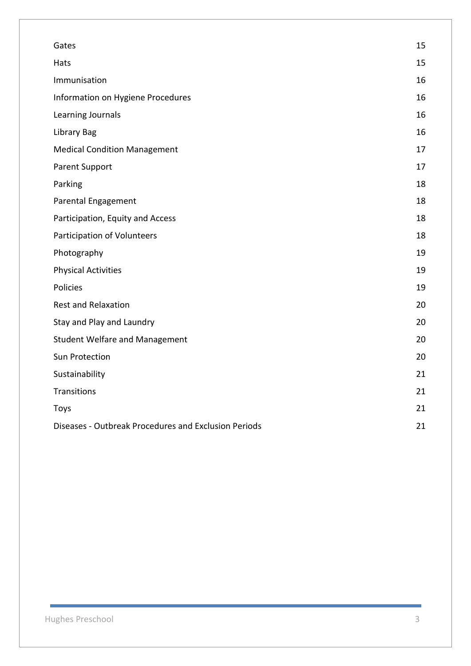| Gates                                                | 15 |
|------------------------------------------------------|----|
| Hats                                                 | 15 |
| Immunisation                                         | 16 |
| Information on Hygiene Procedures                    | 16 |
| Learning Journals                                    | 16 |
| Library Bag                                          | 16 |
| <b>Medical Condition Management</b>                  | 17 |
| <b>Parent Support</b>                                | 17 |
| Parking                                              | 18 |
| Parental Engagement                                  | 18 |
| Participation, Equity and Access                     | 18 |
| Participation of Volunteers                          | 18 |
| Photography                                          | 19 |
| <b>Physical Activities</b>                           | 19 |
| Policies                                             | 19 |
| <b>Rest and Relaxation</b>                           | 20 |
| Stay and Play and Laundry                            | 20 |
| <b>Student Welfare and Management</b>                | 20 |
| Sun Protection                                       | 20 |
| Sustainability                                       | 21 |
| Transitions                                          | 21 |
| Toys                                                 | 21 |
| Diseases - Outbreak Procedures and Exclusion Periods | 21 |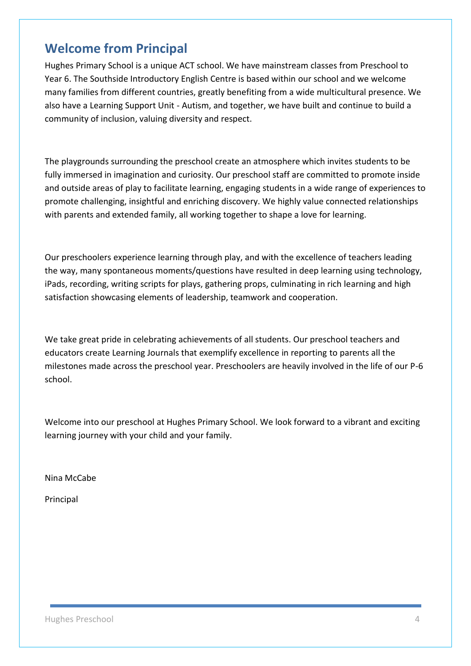# <span id="page-3-0"></span>**Welcome from Principal**

Hughes Primary School is a unique ACT school. We have mainstream classes from Preschool to Year 6. The Southside Introductory English Centre is based within our school and we welcome many families from different countries, greatly benefiting from a wide multicultural presence. We also have a Learning Support Unit - Autism, and together, we have built and continue to build a community of inclusion, valuing diversity and respect.

The playgrounds surrounding the preschool create an atmosphere which invites students to be fully immersed in imagination and curiosity. Our preschool staff are committed to promote inside and outside areas of play to facilitate learning, engaging students in a wide range of experiences to promote challenging, insightful and enriching discovery. We highly value connected relationships with parents and extended family, all working together to shape a love for learning.

Our preschoolers experience learning through play, and with the excellence of teachers leading the way, many spontaneous moments/questions have resulted in deep learning using technology, iPads, recording, writing scripts for plays, gathering props, culminating in rich learning and high satisfaction showcasing elements of leadership, teamwork and cooperation.

We take great pride in celebrating achievements of all students. Our preschool teachers and educators create Learning Journals that exemplify excellence in reporting to parents all the milestones made across the preschool year. Preschoolers are heavily involved in the life of our P-6 school.

Welcome into our preschool at Hughes Primary School. We look forward to a vibrant and exciting learning journey with your child and your family.

Nina McCabe

Principal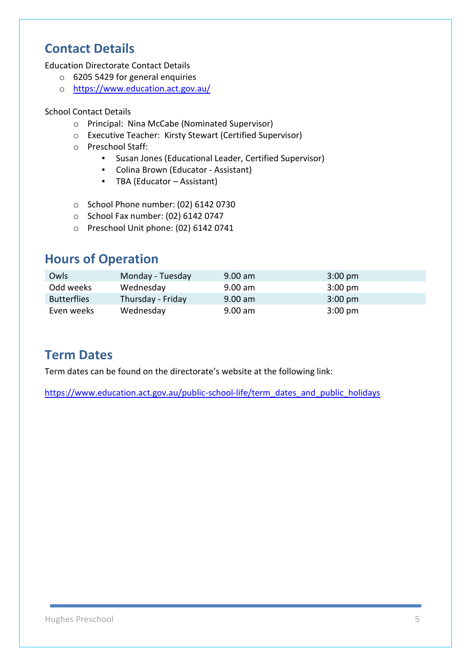# <span id="page-4-0"></span>**Contact Details**

Education Directorate Contact Details

- o 6205 5429 for general enquiries
- o <https://www.education.act.gov.au/>

#### School Contact Details

- o Principal: Nina McCabe (Nominated Supervisor)
- o Executive Teacher: Kirsty Stewart (Certified Supervisor)
- o Preschool Staff:
	- Susan Jones (Educational Leader, Certified Supervisor)
	- Colina Brown (Educator Assistant)
	- TBA (Educator Assistant)
- o School Phone number: (02) 6142 0730
- o School Fax number: (02) 6142 0747
- o Preschool Unit phone: (02) 6142 0741

# <span id="page-4-1"></span>**Hours of Operation**

| Owls               | Monday - Tuesday  | $9.00$ am | $3:00 \text{ pm}$ |
|--------------------|-------------------|-----------|-------------------|
| Odd weeks          | Wednesday         | $9.00$ am | $3:00 \text{ pm}$ |
| <b>Butterflies</b> | Thursday - Friday | $9.00$ am | $3:00 \text{ pm}$ |
| Even weeks         | Wednesday         | $9.00$ am | $3:00 \text{ pm}$ |

# <span id="page-4-2"></span>**Term Dates**

Term dates can be found on the directorate's website at the following link:

[https://www.education.act.gov.au/public-school-life/term\\_dates\\_and\\_public\\_holidays](https://www.education.act.gov.au/public-school-life/term_dates_and_public_holidays)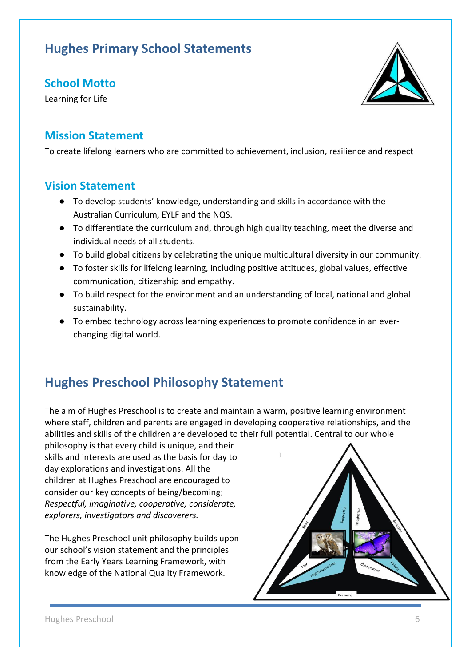# <span id="page-5-0"></span>**Hughes Primary School Statements**

#### <span id="page-5-1"></span>**School Motto**

Learning for Life

#### <span id="page-5-2"></span>**Mission Statement**

To create lifelong learners who are committed to achievement, inclusion, resilience and respect

#### <span id="page-5-3"></span>**Vision Statement**

- To develop students' knowledge, understanding and skills in accordance with the Australian Curriculum, EYLF and the NQS.
- To differentiate the curriculum and, through high quality teaching, meet the diverse and individual needs of all students.
- To build global citizens by celebrating the unique multicultural diversity in our community.
- To foster skills for lifelong learning, including positive attitudes, global values, effective communication, citizenship and empathy.
- To build respect for the environment and an understanding of local, national and global sustainability.
- To embed technology across learning experiences to promote confidence in an everchanging digital world.

# <span id="page-5-4"></span>**Hughes Preschool Philosophy Statement**

The aim of Hughes Preschool is to create and maintain a warm, positive learning environment where staff, children and parents are engaged in developing cooperative relationships, and the abilities and skills of the children are developed to their full potential. Central to our whole

philosophy is that every child is unique, and their skills and interests are used as the basis for day to day explorations and investigations. All the children at Hughes Preschool are encouraged to consider our key concepts of being/becoming; *Respectful, imaginative, cooperative, considerate, explorers, investigators and discoverers.*

The Hughes Preschool unit philosophy builds upon our school's vision statement and the principles from the Early Years Learning Framework, with knowledge of the National Quality Framework.



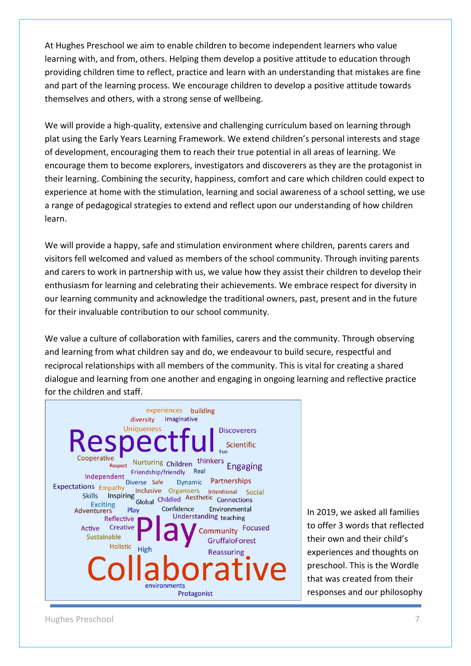At Hughes Preschool we aim to enable children to become independent learners who value learning with, and from, others. Helping them develop a positive attitude to education through providing children time to reflect, practice and learn with an understanding that mistakes are fine and part of the learning process. We encourage children to develop a positive attitude towards themselves and others, with a strong sense of wellbeing.

We will provide a high-quality, extensive and challenging curriculum based on learning through plat using the Early Years Learning Framework. We extend children's personal interests and stage of development, encouraging them to reach their true potential in all areas of learning. We encourage them to become explorers, investigators and discoverers as they are the protagonist in their learning. Combining the security, happiness, comfort and care which children could expect to experience at home with the stimulation, learning and social awareness of a school setting, we use a range of pedagogical strategies to extend and reflect upon our understanding of how children learn.

We will provide a happy, safe and stimulation environment where children, parents carers and visitors fell welcomed and valued as members of the school community. Through inviting parents and carers to work in partnership with us, we value how they assist their children to develop their enthusiasm for learning and celebrating their achievements. We embrace respect for diversity in our learning community and acknowledge the traditional owners, past, present and in the future for their invaluable contribution to our school community.

We value a culture of collaboration with families, carers and the community. Through observing and learning from what children say and do, we endeavour to build secure, respectful and reciprocal relationships with all members of the community. This is vital for creating a shared dialogue and learning from one another and engaging in ongoing learning and reflective practice for the children and staff.



In 2019, we asked all families to offer 3 words that reflected their own and their child's experiences and thoughts on preschool. This is the Wordle that was created from their responses and our philosophy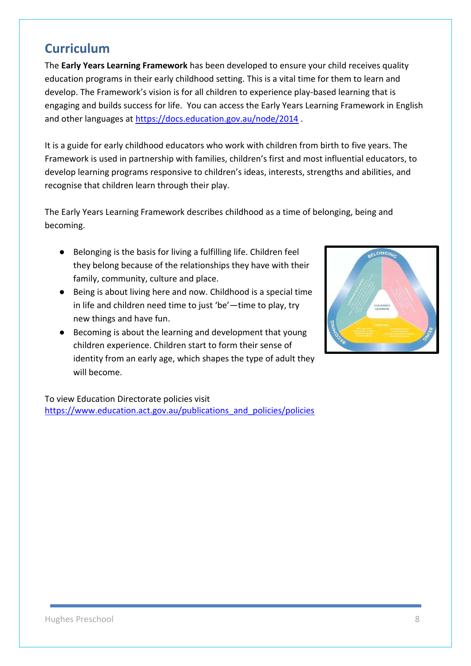# <span id="page-7-0"></span>**Curriculum**

The **Early Years Learning Framework** has been developed to ensure your child receives quality education programs in their early childhood setting. This is a vital time for them to learn and develop. The Framework's vision is for all children to experience play-based learning that is engaging and builds success for life. You can access the Early Years Learning Framework in English and other languages at<https://docs.education.gov.au/node/2014> .

It is a guide for early childhood educators who work with children from birth to five years. The Framework is used in partnership with families, children's first and most influential educators, to develop learning programs responsive to children's ideas, interests, strengths and abilities, and recognise that children learn through their play.

The Early Years Learning Framework describes childhood as a time of belonging, being and becoming.

- Belonging is the basis for living a fulfilling life. Children feel they belong because of the relationships they have with their family, community, culture and place.
- Being is about living here and now. Childhood is a special time in life and children need time to just 'be'—time to play, try new things and have fun.
- Becoming is about the learning and development that young children experience. Children start to form their sense of identity from an early age, which shapes the type of adult they will become.

To view Education Directorate policies visit [https://www.education.act.gov.au/publications\\_and\\_policies/policies](https://www.education.act.gov.au/publications_and_policies/policies)

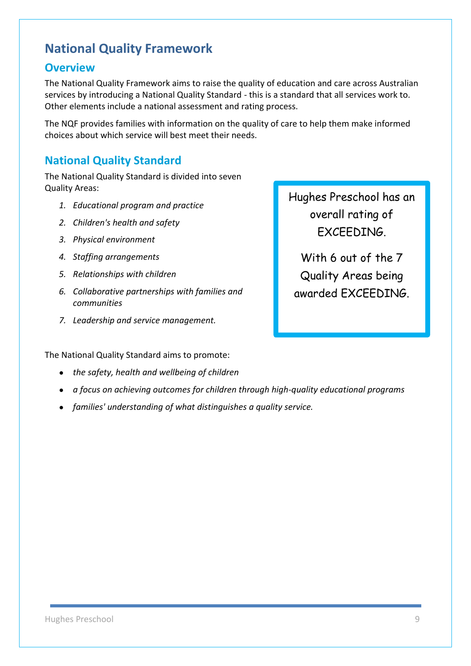# <span id="page-8-0"></span>**National Quality Framework**

#### <span id="page-8-1"></span>**Overview**

The National Quality Framework aims to raise the quality of education and care across Australian services by introducing a National Quality Standard - this is a standard that all services work to. Other elements include a national assessment and rating process.

The NQF provides families with information on the quality of care to help them make informed choices about which service will best meet their needs.

#### <span id="page-8-2"></span>**National Quality Standard**

The National Quality Standard is divided into seven Quality Areas:

- *1. Educational program and practice*
- *2. Children's health and safety*
- *3. Physical environment*
- *4. Staffing arrangements*
- *5. Relationships with children*
- *6. Collaborative partnerships with families and communities*
- *7. Leadership and service management.*

The National Quality Standard aims to promote:

- *the safety, health and wellbeing of children*
- *a focus on achieving outcomes for children through high-quality educational programs*
- *families' understanding of what distinguishes a quality service.*

Hughes Preschool has an overall rating of **FXCFFNING** 

With 6 out of the 7 Quality Areas being awarded EXCEEDING.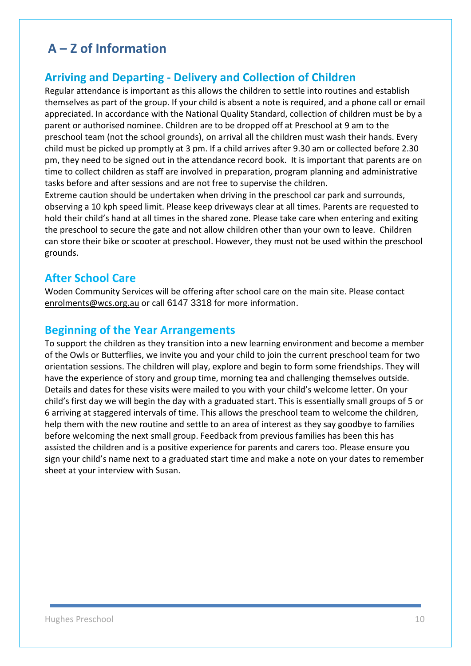# <span id="page-9-0"></span>**A – Z of Information**

#### <span id="page-9-1"></span>**Arriving and Departing - Delivery and Collection of Children**

Regular attendance is important as this allows the children to settle into routines and establish themselves as part of the group. If your child is absent a note is required, and a phone call or email appreciated. In accordance with the National Quality Standard, collection of children must be by a parent or authorised nominee. Children are to be dropped off at Preschool at 9 am to the preschool team (not the school grounds), on arrival all the children must wash their hands. Every child must be picked up promptly at 3 pm. If a child arrives after 9.30 am or collected before 2.30 pm, they need to be signed out in the attendance record book. It is important that parents are on time to collect children as staff are involved in preparation, program planning and administrative tasks before and after sessions and are not free to supervise the children.

Extreme caution should be undertaken when driving in the preschool car park and surrounds, observing a 10 kph speed limit. Please keep driveways clear at all times. Parents are requested to hold their child's hand at all times in the shared zone. Please take care when entering and exiting the preschool to secure the gate and not allow children other than your own to leave. Children can store their bike or scooter at preschool. However, they must not be used within the preschool grounds.

#### **After School Care**

Woden Community Services will be offering after school care on the main site. Please contact [enrolments@wcs.org.au](mailto:enrolments@wcs.org.au) or call 6147 3318 for more information.

#### **Beginning of the Year Arrangements**

To support the children as they transition into a new learning environment and become a member of the Owls or Butterflies, we invite you and your child to join the current preschool team for two orientation sessions. The children will play, explore and begin to form some friendships. They will have the experience of story and group time, morning tea and challenging themselves outside. Details and dates for these visits were mailed to you with your child's welcome letter. On your child's first day we will begin the day with a graduated start. This is essentially small groups of 5 or 6 arriving at staggered intervals of time. This allows the preschool team to welcome the children, help them with the new routine and settle to an area of interest as they say goodbye to families before welcoming the next small group. Feedback from previous families has been this has assisted the children and is a positive experience for parents and carers too. Please ensure you sign your child's name next to a graduated start time and make a note on your dates to remember sheet at your interview with Susan.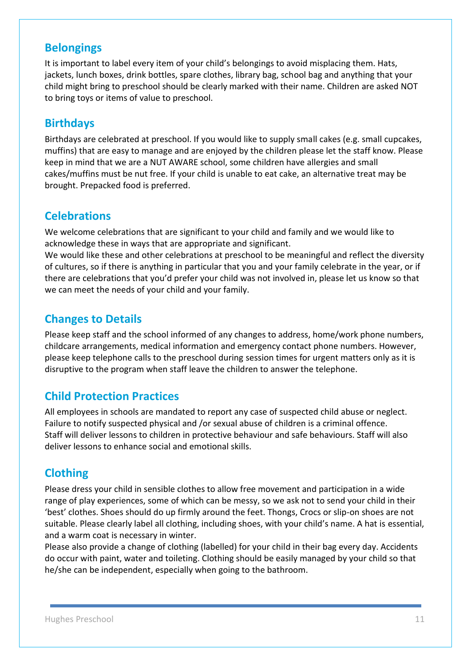#### <span id="page-10-0"></span>**Belongings**

It is important to label every item of your child's belongings to avoid misplacing them. Hats, jackets, lunch boxes, drink bottles, spare clothes, library bag, school bag and anything that your child might bring to preschool should be clearly marked with their name. Children are asked NOT to bring toys or items of value to preschool.

#### <span id="page-10-1"></span>**Birthdays**

Birthdays are celebrated at preschool. If you would like to supply small cakes (e.g. small cupcakes, muffins) that are easy to manage and are enjoyed by the children please let the staff know. Please keep in mind that we are a NUT AWARE school, some children have allergies and small cakes/muffins must be nut free. If your child is unable to eat cake, an alternative treat may be brought. Prepacked food is preferred.

#### <span id="page-10-2"></span>**Celebrations**

We welcome celebrations that are significant to your child and family and we would like to acknowledge these in ways that are appropriate and significant.

We would like these and other celebrations at preschool to be meaningful and reflect the diversity of cultures, so if there is anything in particular that you and your family celebrate in the year, or if there are celebrations that you'd prefer your child was not involved in, please let us know so that we can meet the needs of your child and your family.

#### <span id="page-10-3"></span>**Changes to Details**

Please keep staff and the school informed of any changes to address, home/work phone numbers, childcare arrangements, medical information and emergency contact phone numbers. However, please keep telephone calls to the preschool during session times for urgent matters only as it is disruptive to the program when staff leave the children to answer the telephone.

#### <span id="page-10-4"></span>**Child Protection Practices**

All employees in schools are mandated to report any case of suspected child abuse or neglect. Failure to notify suspected physical and /or sexual abuse of children is a criminal offence. Staff will deliver lessons to children in protective behaviour and safe behaviours. Staff will also deliver lessons to enhance social and emotional skills.

#### <span id="page-10-5"></span>**Clothing**

Please dress your child in sensible clothes to allow free movement and participation in a wide range of play experiences, some of which can be messy, so we ask not to send your child in their 'best' clothes. Shoes should do up firmly around the feet. Thongs, Crocs or slip-on shoes are not suitable. Please clearly label all clothing, including shoes, with your child's name. A hat is essential, and a warm coat is necessary in winter.

Please also provide a change of clothing (labelled) for your child in their bag every day. Accidents do occur with paint, water and toileting. Clothing should be easily managed by your child so that he/she can be independent, especially when going to the bathroom.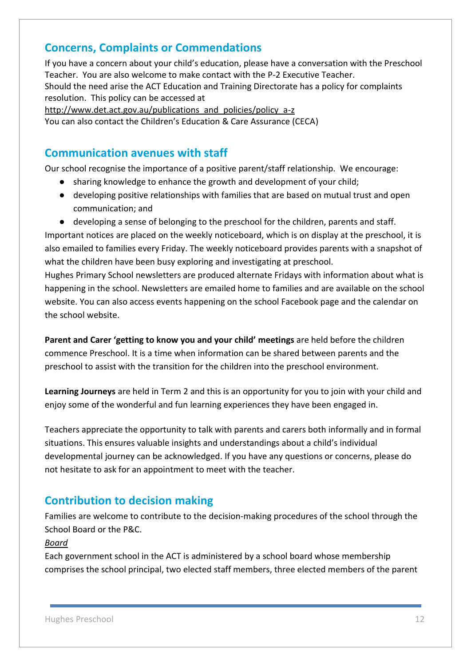#### <span id="page-11-0"></span>**Concerns, Complaints or Commendations**

If you have a concern about your child's education, please have a conversation with the Preschool Teacher. You are also welcome to make contact with the P-2 Executive Teacher. Should the need arise the ACT Education and Training Directorate has a policy for complaints resolution. This policy can be accessed at

http://www.det.act.gov.au/publications and policies/policy a-z You can also contact the Children's Education & Care Assurance (CECA)

#### <span id="page-11-1"></span>**Communication avenues with staff**

Our school recognise the importance of a positive parent/staff relationship. We encourage:

- sharing knowledge to enhance the growth and development of your child;
- developing positive relationships with families that are based on mutual trust and open communication; and
- developing a sense of belonging to the preschool for the children, parents and staff.

Important notices are placed on the weekly noticeboard, which is on display at the preschool, it is also emailed to families every Friday. The weekly noticeboard provides parents with a snapshot of what the children have been busy exploring and investigating at preschool.

Hughes Primary School newsletters are produced alternate Fridays with information about what is happening in the school. Newsletters are emailed home to families and are available on the school website. You can also access events happening on the school Facebook page and the calendar on the school website.

**Parent and Carer 'getting to know you and your child' meetings** are held before the children commence Preschool. It is a time when information can be shared between parents and the preschool to assist with the transition for the children into the preschool environment.

**Learning Journeys** are held in Term 2 and this is an opportunity for you to join with your child and enjoy some of the wonderful and fun learning experiences they have been engaged in.

Teachers appreciate the opportunity to talk with parents and carers both informally and in formal situations. This ensures valuable insights and understandings about a child's individual developmental journey can be acknowledged. If you have any questions or concerns, please do not hesitate to ask for an appointment to meet with the teacher.

#### <span id="page-11-2"></span>**Contribution to decision making**

Families are welcome to contribute to the decision-making procedures of the school through the School Board or the P&C.

#### *Board*

Each government school in the ACT is administered by a school board whose membership comprises the school principal, two elected staff members, three elected members of the parent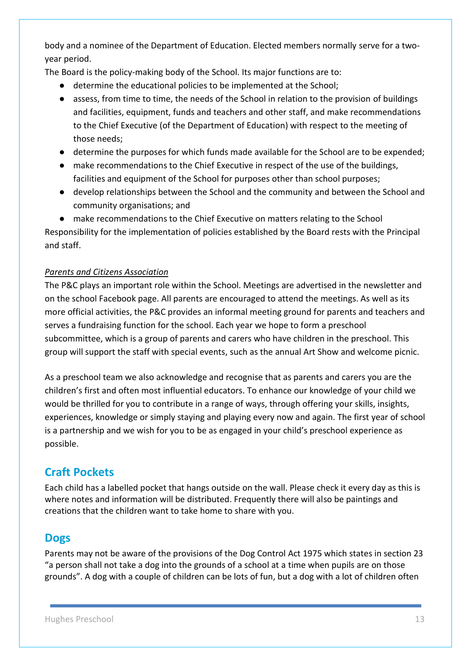body and a nominee of the Department of Education. Elected members normally serve for a twoyear period.

The Board is the policy-making body of the School. Its major functions are to:

- determine the educational policies to be implemented at the School;
- assess, from time to time, the needs of the School in relation to the provision of buildings and facilities, equipment, funds and teachers and other staff, and make recommendations to the Chief Executive (of the Department of Education) with respect to the meeting of those needs;
- determine the purposes for which funds made available for the School are to be expended;
- make recommendations to the Chief Executive in respect of the use of the buildings, facilities and equipment of the School for purposes other than school purposes;
- develop relationships between the School and the community and between the School and community organisations; and
- make recommendations to the Chief Executive on matters relating to the School

Responsibility for the implementation of policies established by the Board rests with the Principal and staff.

#### *Parents and Citizens Association*

The P&C plays an important role within the School. Meetings are advertised in the newsletter and on the school Facebook page. All parents are encouraged to attend the meetings. As well as its more official activities, the P&C provides an informal meeting ground for parents and teachers and serves a fundraising function for the school. Each year we hope to form a preschool subcommittee, which is a group of parents and carers who have children in the preschool. This group will support the staff with special events, such as the annual Art Show and welcome picnic.

As a preschool team we also acknowledge and recognise that as parents and carers you are the children's first and often most influential educators. To enhance our knowledge of your child we would be thrilled for you to contribute in a range of ways, through offering your skills, insights, experiences, knowledge or simply staying and playing every now and again. The first year of school is a partnership and we wish for you to be as engaged in your child's preschool experience as possible.

# <span id="page-12-0"></span>**Craft Pockets**

Each child has a labelled pocket that hangs outside on the wall. Please check it every day as this is where notes and information will be distributed. Frequently there will also be paintings and creations that the children want to take home to share with you.

#### <span id="page-12-1"></span>**Dogs**

Parents may not be aware of the provisions of the Dog Control Act 1975 which states in section 23 "a person shall not take a dog into the grounds of a school at a time when pupils are on those grounds". A dog with a couple of children can be lots of fun, but a dog with a lot of children often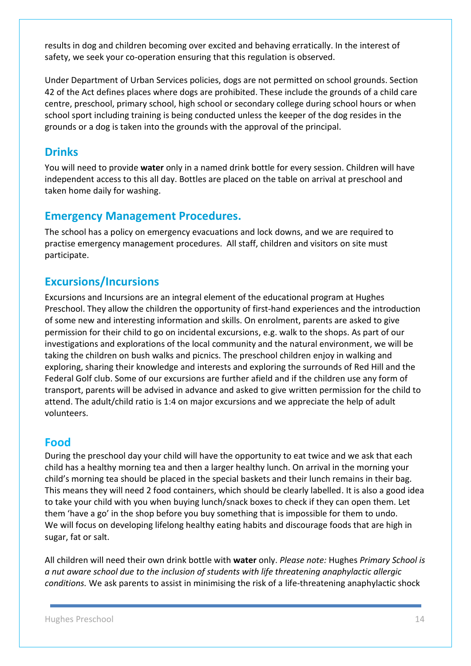results in dog and children becoming over excited and behaving erratically. In the interest of safety, we seek your co-operation ensuring that this regulation is observed.

Under Department of Urban Services policies, dogs are not permitted on school grounds. Section 42 of the Act defines places where dogs are prohibited. These include the grounds of a child care centre, preschool, primary school, high school or secondary college during school hours or when school sport including training is being conducted unless the keeper of the dog resides in the grounds or a dog is taken into the grounds with the approval of the principal.

#### <span id="page-13-0"></span>**Drinks**

You will need to provide **water** only in a named drink bottle for every session. Children will have independent access to this all day. Bottles are placed on the table on arrival at preschool and taken home daily for washing.

#### <span id="page-13-1"></span>**Emergency Management Procedures.**

The school has a policy on emergency evacuations and lock downs, and we are required to practise emergency management procedures. All staff, children and visitors on site must participate.

#### <span id="page-13-2"></span>**Excursions/Incursions**

Excursions and Incursions are an integral element of the educational program at Hughes Preschool. They allow the children the opportunity of first-hand experiences and the introduction of some new and interesting information and skills. On enrolment, parents are asked to give permission for their child to go on incidental excursions, e.g. walk to the shops. As part of our investigations and explorations of the local community and the natural environment, we will be taking the children on bush walks and picnics. The preschool children enjoy in walking and exploring, sharing their knowledge and interests and exploring the surrounds of Red Hill and the Federal Golf club. Some of our excursions are further afield and if the children use any form of transport, parents will be advised in advance and asked to give written permission for the child to attend. The adult/child ratio is 1:4 on major excursions and we appreciate the help of adult volunteers.

#### **Food**

During the preschool day your child will have the opportunity to eat twice and we ask that each child has a healthy morning tea and then a larger healthy lunch. On arrival in the morning your child's morning tea should be placed in the special baskets and their lunch remains in their bag. This means they will need 2 food containers, which should be clearly labelled. It is also a good idea to take your child with you when buying lunch/snack boxes to check if they can open them. Let them 'have a go' in the shop before you buy something that is impossible for them to undo. We will focus on developing lifelong healthy eating habits and discourage foods that are high in sugar, fat or salt.

All children will need their own drink bottle with **water** only. *Please note:* Hughes *Primary School is a nut aware school due to the inclusion of students with life threatening anaphylactic allergic conditions.* We ask parents to assist in minimising the risk of a life-threatening anaphylactic shock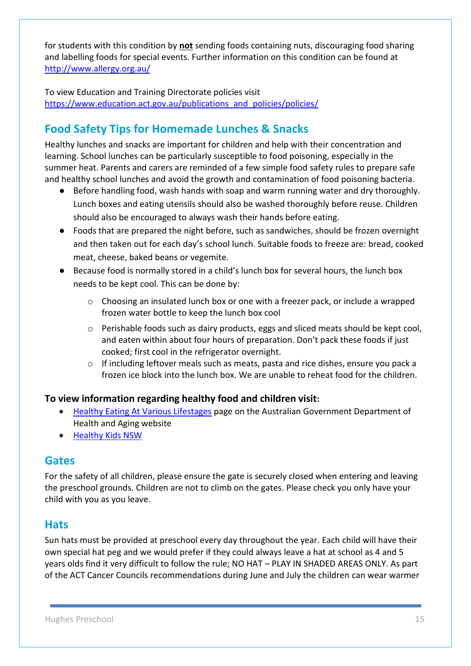for students with this condition by **not** sending foods containing nuts, discouraging food sharing and labelling foods for special events. Further information on this condition can be found at <http://www.allergy.org.au/>

To view Education and Training Directorate policies visit https://www.education.act.gov.au/publications and policies/policies/

# <span id="page-14-0"></span>**Food Safety Tips for Homemade Lunches & Snacks**

Healthy lunches and snacks are important for children and help with their concentration and learning. School lunches can be particularly susceptible to food poisoning, especially in the summer heat. Parents and carers are reminded of a few simple food safety rules to prepare safe and healthy school lunches and avoid the growth and contamination of food poisoning bacteria.

- Before handling food, wash hands with soap and warm running water and dry thoroughly. Lunch boxes and eating utensils should also be washed thoroughly before reuse. Children should also be encouraged to always wash their hands before eating.
- Foods that are prepared the night before, such as sandwiches, should be frozen overnight and then taken out for each day's school lunch. Suitable foods to freeze are: bread, cooked meat, cheese, baked beans or vegemite.
- Because food is normally stored in a child's lunch box for several hours, the lunch box needs to be kept cool. This can be done by:
	- $\circ$  Choosing an insulated lunch box or one with a freezer pack, or include a wrapped frozen water bottle to keep the lunch box cool
	- o Perishable foods such as dairy products, eggs and sliced meats should be kept cool, and eaten within about four hours of preparation. Don't pack these foods if just cooked; first cool in the refrigerator overnight.
	- $\circ$  If including leftover meals such as meats, pasta and rice dishes, ensure you pack a frozen ice block into the lunch box. We are unable to reheat food for the children.

#### **To view information regarding healthy food and children visit:**

- [Healthy Eating At Various Lifestages](https://www.eatforhealth.gov.au/eating-well/healthy-eating-throughout-all-life) page on the Australian Government Department of Health and Aging website
- [Healthy Kids NSW](http://www.healthykids.nsw.gov.au/)

#### <span id="page-14-1"></span>**Gates**

For the safety of all children, please ensure the gate is securely closed when entering and leaving the preschool grounds. Children are not to climb on the gates. Please check you only have your child with you as you leave.

#### <span id="page-14-2"></span>**Hats**

Sun hats must be provided at preschool every day throughout the year. Each child will have their own special hat peg and we would prefer if they could always leave a hat at school as 4 and 5 years olds find it very difficult to follow the rule; NO HAT – PLAY IN SHADED AREAS ONLY. As part of the ACT Cancer Councils recommendations during June and July the children can wear warmer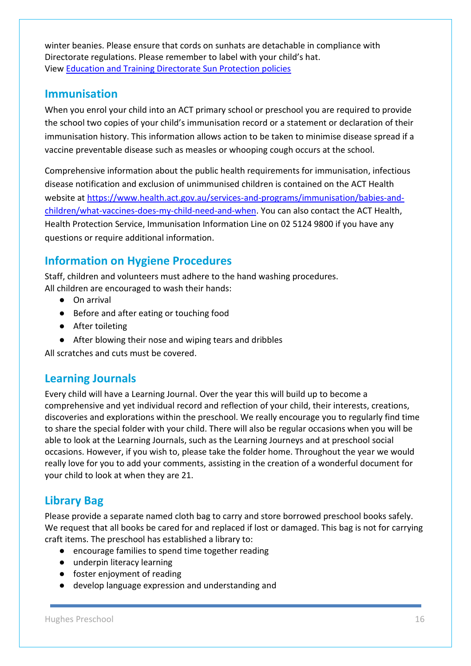winter beanies. Please ensure that cords on sunhats are detachable in compliance with Directorate regulations. Please remember to label with your child's hat. View [Education and Training Directorate Sun Protection policies](https://www.education.act.gov.au/publications_and_policies/policies)

#### <span id="page-15-0"></span>**Immunisation**

When you enrol your child into an ACT primary school or preschool you are required to provide the school two copies of your child's immunisation record or a statement or declaration of their immunisation history. This information allows action to be taken to minimise disease spread if a vaccine preventable disease such as measles or whooping cough occurs at the school.

Comprehensive information about the public health requirements for immunisation, infectious disease notification and exclusion of unimmunised children is contained on the ACT Health website at [https://www.health.act.gov.au/services-and-programs/immunisation/babies-and](https://www.health.act.gov.au/services-and-programs/immunisation/babies-and-children/what-vaccines-does-my-child-need-and-when)[children/what-vaccines-does-my-child-need-and-when.](https://www.health.act.gov.au/services-and-programs/immunisation/babies-and-children/what-vaccines-does-my-child-need-and-when) You can also contact the ACT Health, Health Protection Service, Immunisation Information Line on 02 5124 9800 if you have any questions or require additional information.

#### <span id="page-15-1"></span>**Information on Hygiene Procedures**

Staff, children and volunteers must adhere to the hand washing procedures. All children are encouraged to wash their hands:

- On arrival
- Before and after eating or touching food
- After toileting
- After blowing their nose and wiping tears and dribbles

All scratches and cuts must be covered.

#### <span id="page-15-2"></span>**Learning Journals**

Every child will have a Learning Journal. Over the year this will build up to become a comprehensive and yet individual record and reflection of your child, their interests, creations, discoveries and explorations within the preschool. We really encourage you to regularly find time to share the special folder with your child. There will also be regular occasions when you will be able to look at the Learning Journals, such as the Learning Journeys and at preschool social occasions. However, if you wish to, please take the folder home. Throughout the year we would really love for you to add your comments, assisting in the creation of a wonderful document for your child to look at when they are 21.

#### <span id="page-15-3"></span>**Library Bag**

Please provide a separate named cloth bag to carry and store borrowed preschool books safely. We request that all books be cared for and replaced if lost or damaged. This bag is not for carrying craft items. The preschool has established a library to:

- encourage families to spend time together reading
- underpin literacy learning
- foster enjoyment of reading
- develop language expression and understanding and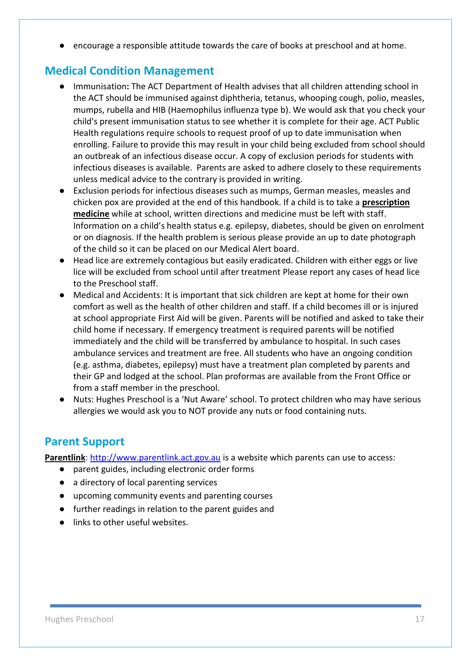● encourage a responsible attitude towards the care of books at preschool and at home.

#### <span id="page-16-0"></span>**Medical Condition Management**

- Immunisation**:** The ACT Department of Health advises that all children attending school in the ACT should be immunised against diphtheria, tetanus, whooping cough, polio, measles, mumps, rubella and HIB (Haemophilus influenza type b). We would ask that you check your child's present immunisation status to see whether it is complete for their age. ACT Public Health regulations require schools to request proof of up to date immunisation when enrolling. Failure to provide this may result in your child being excluded from school should an outbreak of an infectious disease occur. A copy of exclusion periods for students with infectious diseases is available. Parents are asked to adhere closely to these requirements unless medical advice to the contrary is provided in writing.
- Exclusion periods for infectious diseases such as mumps, German measles, measles and chicken pox are provided at the end of this handbook. If a child is to take a **prescription medicine** while at school, written directions and medicine must be left with staff. Information on a child's health status e.g. epilepsy, diabetes, should be given on enrolment or on diagnosis. If the health problem is serious please provide an up to date photograph of the child so it can be placed on our Medical Alert board.
- Head lice are extremely contagious but easily eradicated. Children with either eggs or live lice will be excluded from school until after treatment Please report any cases of head lice to the Preschool staff.
- Medical and Accidents: It is important that sick children are kept at home for their own comfort as well as the health of other children and staff. If a child becomes ill or is injured at school appropriate First Aid will be given. Parents will be notified and asked to take their child home if necessary. If emergency treatment is required parents will be notified immediately and the child will be transferred by ambulance to hospital. In such cases ambulance services and treatment are free. All students who have an ongoing condition (e.g. asthma, diabetes, epilepsy) must have a treatment plan completed by parents and their GP and lodged at the school. Plan proformas are available from the Front Office or from a staff member in the preschool.
- Nuts: Hughes Preschool is a 'Nut Aware' school. To protect children who may have serious allergies we would ask you to NOT provide any nuts or food containing nuts.

#### <span id="page-16-1"></span>**Parent Support**

**Parentlink**: [http://www.parentlink.act.gov.au](http://www.parentlink.act.gov.au/) is a website which parents can use to access:

- parent guides, including electronic order forms
- a directory of local parenting services
- upcoming community events and parenting courses
- further readings in relation to the parent guides and
- links to other useful websites.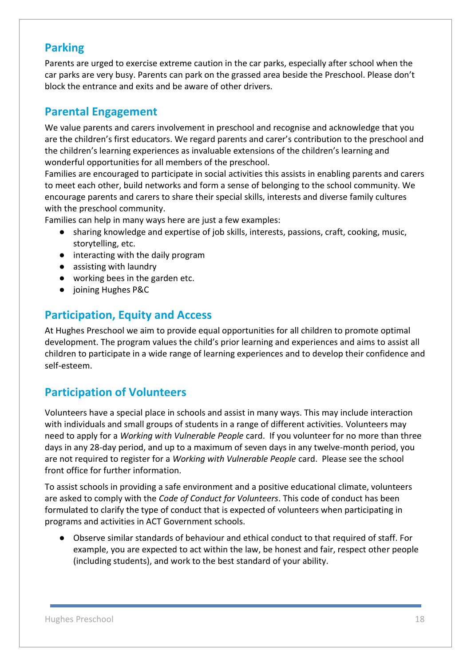#### <span id="page-17-0"></span>**Parking**

Parents are urged to exercise extreme caution in the car parks, especially after school when the car parks are very busy. Parents can park on the grassed area beside the Preschool. Please don't block the entrance and exits and be aware of other drivers.

#### <span id="page-17-1"></span>**Parental Engagement**

We value parents and carers involvement in preschool and recognise and acknowledge that you are the children's first educators. We regard parents and carer's contribution to the preschool and the children's learning experiences as invaluable extensions of the children's learning and wonderful opportunities for all members of the preschool.

Families are encouraged to participate in social activities this assists in enabling parents and carers to meet each other, build networks and form a sense of belonging to the school community. We encourage parents and carers to share their special skills, interests and diverse family cultures with the preschool community.

Families can help in many ways here are just a few examples:

- sharing knowledge and expertise of job skills, interests, passions, craft, cooking, music, storytelling, etc.
- interacting with the daily program
- assisting with laundry
- working bees in the garden etc.
- joining Hughes P&C

#### <span id="page-17-2"></span>**Participation, Equity and Access**

At Hughes Preschool we aim to provide equal opportunities for all children to promote optimal development. The program values the child's prior learning and experiences and aims to assist all children to participate in a wide range of learning experiences and to develop their confidence and self-esteem.

#### <span id="page-17-3"></span>**Participation of Volunteers**

Volunteers have a special place in schools and assist in many ways. This may include interaction with individuals and small groups of students in a range of different activities. Volunteers may need to apply for a *Working with Vulnerable People* card. If you volunteer for no more than three days in any 28-day period, and up to a maximum of seven days in any twelve-month period, you are not required to register for a *Working with Vulnerable People* card. Please see the school front office for further information.

To assist schools in providing a safe environment and a positive educational climate, volunteers are asked to comply with the *Code of Conduct for Volunteers*. This code of conduct has been formulated to clarify the type of conduct that is expected of volunteers when participating in programs and activities in ACT Government schools.

● Observe similar standards of behaviour and ethical conduct to that required of staff. For example, you are expected to act within the law, be honest and fair, respect other people (including students), and work to the best standard of your ability.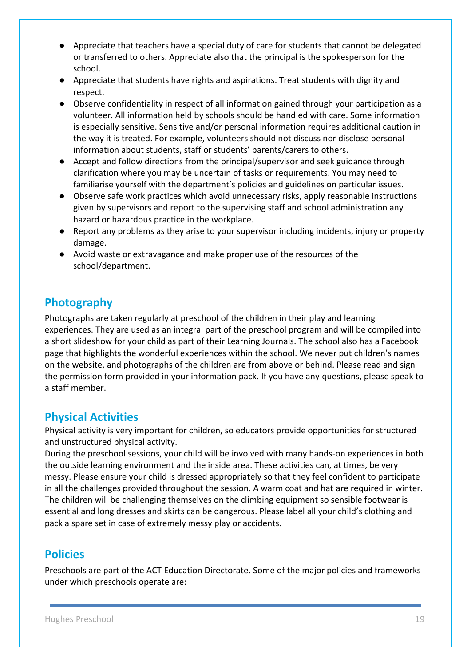- Appreciate that teachers have a special duty of care for students that cannot be delegated or transferred to others. Appreciate also that the principal is the spokesperson for the school.
- Appreciate that students have rights and aspirations. Treat students with dignity and respect.
- Observe confidentiality in respect of all information gained through your participation as a volunteer. All information held by schools should be handled with care. Some information is especially sensitive. Sensitive and/or personal information requires additional caution in the way it is treated. For example, volunteers should not discuss nor disclose personal information about students, staff or students' parents/carers to others.
- Accept and follow directions from the principal/supervisor and seek guidance through clarification where you may be uncertain of tasks or requirements. You may need to familiarise yourself with the department's policies and guidelines on particular issues.
- Observe safe work practices which avoid unnecessary risks, apply reasonable instructions given by supervisors and report to the supervising staff and school administration any hazard or hazardous practice in the workplace.
- Report any problems as they arise to your supervisor including incidents, injury or property damage.
- Avoid waste or extravagance and make proper use of the resources of the school/department.

#### <span id="page-18-0"></span>**Photography**

Photographs are taken regularly at preschool of the children in their play and learning experiences. They are used as an integral part of the preschool program and will be compiled into a short slideshow for your child as part of their Learning Journals. The school also has a Facebook page that highlights the wonderful experiences within the school. We never put children's names on the website, and photographs of the children are from above or behind. Please read and sign the permission form provided in your information pack. If you have any questions, please speak to a staff member.

#### <span id="page-18-1"></span>**Physical Activities**

Physical activity is very important for children, so educators provide opportunities for structured and unstructured physical activity.

During the preschool sessions, your child will be involved with many hands-on experiences in both the outside learning environment and the inside area. These activities can, at times, be very messy. Please ensure your child is dressed appropriately so that they feel confident to participate in all the challenges provided throughout the session. A warm coat and hat are required in winter. The children will be challenging themselves on the climbing equipment so sensible footwear is essential and long dresses and skirts can be dangerous. Please label all your child's clothing and pack a spare set in case of extremely messy play or accidents.

# <span id="page-18-2"></span>**Policies**

Preschools are part of the ACT Education Directorate. Some of the major policies and frameworks under which preschools operate are: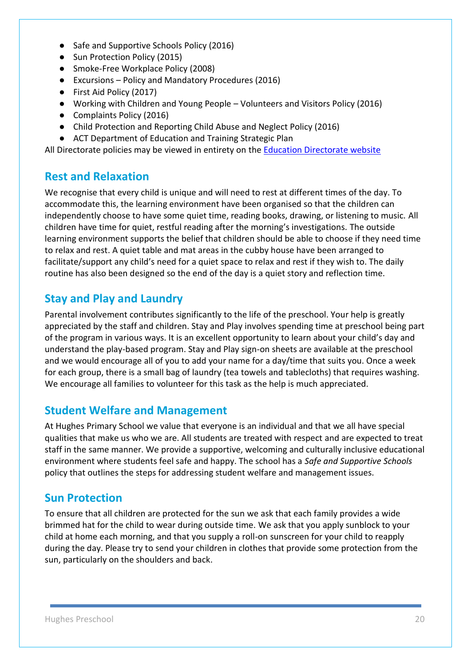- Safe and Supportive Schools Policy (2016)
- Sun Protection Policy (2015)
- Smoke-Free Workplace Policy (2008)
- Excursions Policy and Mandatory Procedures (2016)
- First Aid Policy (2017)
- Working with Children and Young People Volunteers and Visitors Policy (2016)
- Complaints Policy (2016)
- Child Protection and Reporting Child Abuse and Neglect Policy (2016)
- ACT Department of Education and Training Strategic Plan

All Directorate policies may be viewed in entirety on the **[Education Directorate website](https://www.education.act.gov.au/publications_and_policies/policies)** 

#### <span id="page-19-0"></span>**Rest and Relaxation**

We recognise that every child is unique and will need to rest at different times of the day. To accommodate this, the learning environment have been organised so that the children can independently choose to have some quiet time, reading books, drawing, or listening to music. All children have time for quiet, restful reading after the morning's investigations. The outside learning environment supports the belief that children should be able to choose if they need time to relax and rest. A quiet table and mat areas in the cubby house have been arranged to facilitate/support any child's need for a quiet space to relax and rest if they wish to. The daily routine has also been designed so the end of the day is a quiet story and reflection time.

#### <span id="page-19-1"></span>**Stay and Play and Laundry**

Parental involvement contributes significantly to the life of the preschool. Your help is greatly appreciated by the staff and children. Stay and Play involves spending time at preschool being part of the program in various ways. It is an excellent opportunity to learn about your child's day and understand the play-based program. Stay and Play sign-on sheets are available at the preschool and we would encourage all of you to add your name for a day/time that suits you. Once a week for each group, there is a small bag of laundry (tea towels and tablecloths) that requires washing. We encourage all families to volunteer for this task as the help is much appreciated.

#### <span id="page-19-2"></span>**Student Welfare and Management**

At Hughes Primary School we value that everyone is an individual and that we all have special qualities that make us who we are. All students are treated with respect and are expected to treat staff in the same manner. We provide a supportive, welcoming and culturally inclusive educational environment where students feel safe and happy. The school has a *Safe and Supportive Schools*  policy that outlines the steps for addressing student welfare and management issues.

#### <span id="page-19-3"></span>**Sun Protection**

To ensure that all children are protected for the sun we ask that each family provides a wide brimmed hat for the child to wear during outside time. We ask that you apply sunblock to your child at home each morning, and that you supply a roll-on sunscreen for your child to reapply during the day. Please try to send your children in clothes that provide some protection from the sun, particularly on the shoulders and back.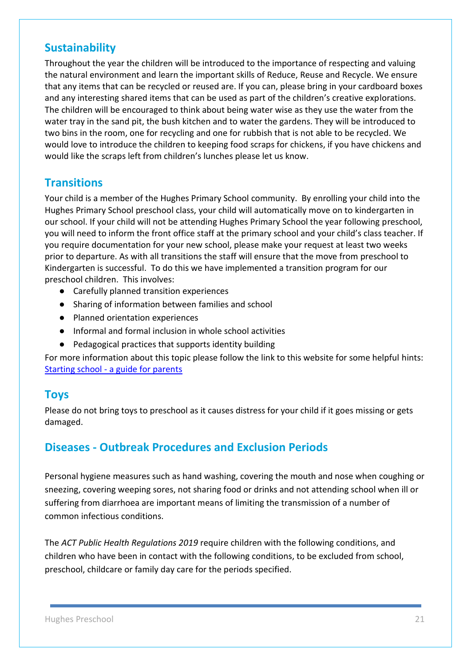#### <span id="page-20-0"></span>**Sustainability**

Throughout the year the children will be introduced to the importance of respecting and valuing the natural environment and learn the important skills of Reduce, Reuse and Recycle. We ensure that any items that can be recycled or reused are. If you can, please bring in your cardboard boxes and any interesting shared items that can be used as part of the children's creative explorations. The children will be encouraged to think about being water wise as they use the water from the water tray in the sand pit, the bush kitchen and to water the gardens. They will be introduced to two bins in the room, one for recycling and one for rubbish that is not able to be recycled. We would love to introduce the children to keeping food scraps for chickens, if you have chickens and would like the scraps left from children's lunches please let us know.

#### <span id="page-20-1"></span>**Transitions**

Your child is a member of the Hughes Primary School community. By enrolling your child into the Hughes Primary School preschool class, your child will automatically move on to kindergarten in our school. If your child will not be attending Hughes Primary School the year following preschool, you will need to inform the front office staff at the primary school and your child's class teacher. If you require documentation for your new school, please make your request at least two weeks prior to departure. As with all transitions the staff will ensure that the move from preschool to Kindergarten is successful. To do this we have implemented a transition program for our preschool children. This involves:

- Carefully planned transition experiences
- Sharing of information between families and school
- Planned orientation experiences
- Informal and formal inclusion in whole school activities
- Pedagogical practices that supports identity building

For more information about this topic please follow the link to this website for some helpful hints: Starting school - [a guide for parents](https://www.education.act.gov.au/public-school-life/starting_school)

#### <span id="page-20-2"></span>**Toys**

Please do not bring toys to preschool as it causes distress for your child if it goes missing or gets damaged.

#### <span id="page-20-3"></span>**Diseases - Outbreak Procedures and Exclusion Periods**

Personal hygiene measures such as hand washing, covering the mouth and nose when coughing or sneezing, covering weeping sores, not sharing food or drinks and not attending school when ill or suffering from diarrhoea are important means of limiting the transmission of a number of common infectious conditions.

The *ACT Public Health Regulations 2019* require children with the following conditions, and children who have been in contact with the following conditions, to be excluded from school, preschool, childcare or family day care for the periods specified.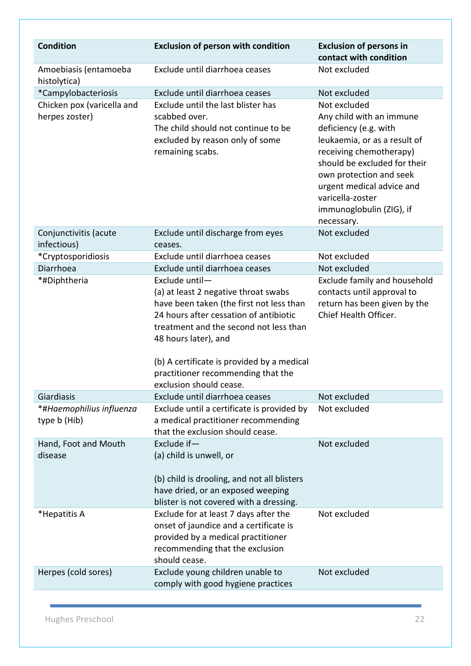| <b>Condition</b>                             | <b>Exclusion of person with condition</b>                                                                                                                                                                                                                                                                                     | <b>Exclusion of persons in</b><br>contact with condition                                                                                                                                                                                                                           |
|----------------------------------------------|-------------------------------------------------------------------------------------------------------------------------------------------------------------------------------------------------------------------------------------------------------------------------------------------------------------------------------|------------------------------------------------------------------------------------------------------------------------------------------------------------------------------------------------------------------------------------------------------------------------------------|
| Amoebiasis (entamoeba<br>histolytica)        | Exclude until diarrhoea ceases                                                                                                                                                                                                                                                                                                | Not excluded                                                                                                                                                                                                                                                                       |
| *Campylobacteriosis                          | Exclude until diarrhoea ceases                                                                                                                                                                                                                                                                                                | Not excluded                                                                                                                                                                                                                                                                       |
| Chicken pox (varicella and<br>herpes zoster) | Exclude until the last blister has<br>scabbed over.<br>The child should not continue to be<br>excluded by reason only of some<br>remaining scabs.                                                                                                                                                                             | Not excluded<br>Any child with an immune<br>deficiency (e.g. with<br>leukaemia, or as a result of<br>receiving chemotherapy)<br>should be excluded for their<br>own protection and seek<br>urgent medical advice and<br>varicella-zoster<br>immunoglobulin (ZIG), if<br>necessary. |
| Conjunctivitis (acute<br>infectious)         | Exclude until discharge from eyes<br>ceases.                                                                                                                                                                                                                                                                                  | Not excluded                                                                                                                                                                                                                                                                       |
| *Cryptosporidiosis                           | Exclude until diarrhoea ceases                                                                                                                                                                                                                                                                                                | Not excluded                                                                                                                                                                                                                                                                       |
| Diarrhoea                                    | Exclude until diarrhoea ceases                                                                                                                                                                                                                                                                                                | Not excluded                                                                                                                                                                                                                                                                       |
| *#Diphtheria                                 | Exclude until-<br>(a) at least 2 negative throat swabs<br>have been taken (the first not less than<br>24 hours after cessation of antibiotic<br>treatment and the second not less than<br>48 hours later), and<br>(b) A certificate is provided by a medical<br>practitioner recommending that the<br>exclusion should cease. | Exclude family and household<br>contacts until approval to<br>return has been given by the<br>Chief Health Officer.                                                                                                                                                                |
| Giardiasis                                   | Exclude until diarrhoea ceases                                                                                                                                                                                                                                                                                                | Not excluded                                                                                                                                                                                                                                                                       |
| *#Haemophilius influenza<br>type b (Hib)     | Exclude until a certificate is provided by<br>a medical practitioner recommending<br>that the exclusion should cease.                                                                                                                                                                                                         | Not excluded                                                                                                                                                                                                                                                                       |
| Hand, Foot and Mouth<br>disease              | Exclude if-<br>(a) child is unwell, or<br>(b) child is drooling, and not all blisters<br>have dried, or an exposed weeping<br>blister is not covered with a dressing.                                                                                                                                                         | Not excluded                                                                                                                                                                                                                                                                       |
| *Hepatitis A                                 | Exclude for at least 7 days after the<br>onset of jaundice and a certificate is<br>provided by a medical practitioner<br>recommending that the exclusion<br>should cease.                                                                                                                                                     | Not excluded                                                                                                                                                                                                                                                                       |
| Herpes (cold sores)                          | Exclude young children unable to<br>comply with good hygiene practices                                                                                                                                                                                                                                                        | Not excluded                                                                                                                                                                                                                                                                       |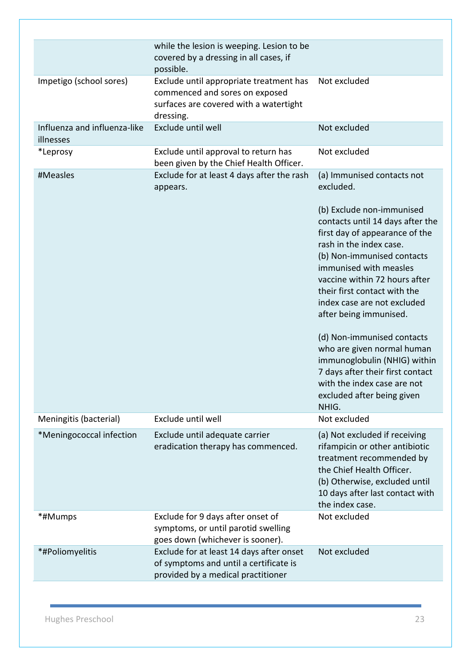|                                           | while the lesion is weeping. Lesion to be<br>covered by a dressing in all cases, if<br>possible.                                 |                                                                                                                                                                                                                                                                                                                                                                                                                                                                                                           |
|-------------------------------------------|----------------------------------------------------------------------------------------------------------------------------------|-----------------------------------------------------------------------------------------------------------------------------------------------------------------------------------------------------------------------------------------------------------------------------------------------------------------------------------------------------------------------------------------------------------------------------------------------------------------------------------------------------------|
| Impetigo (school sores)                   | Exclude until appropriate treatment has<br>commenced and sores on exposed<br>surfaces are covered with a watertight<br>dressing. | Not excluded                                                                                                                                                                                                                                                                                                                                                                                                                                                                                              |
| Influenza and influenza-like<br>illnesses | Exclude until well                                                                                                               | Not excluded                                                                                                                                                                                                                                                                                                                                                                                                                                                                                              |
| *Leprosy                                  | Exclude until approval to return has<br>been given by the Chief Health Officer.                                                  | Not excluded                                                                                                                                                                                                                                                                                                                                                                                                                                                                                              |
| #Measles                                  | Exclude for at least 4 days after the rash<br>appears.                                                                           | (a) Immunised contacts not<br>excluded.                                                                                                                                                                                                                                                                                                                                                                                                                                                                   |
|                                           |                                                                                                                                  | (b) Exclude non-immunised<br>contacts until 14 days after the<br>first day of appearance of the<br>rash in the index case.<br>(b) Non-immunised contacts<br>immunised with measles<br>vaccine within 72 hours after<br>their first contact with the<br>index case are not excluded<br>after being immunised.<br>(d) Non-immunised contacts<br>who are given normal human<br>immunoglobulin (NHIG) within<br>7 days after their first contact<br>with the index case are not<br>excluded after being given |
| Meningitis (bacterial)                    | Exclude until well                                                                                                               | NHIG.<br>Not excluded                                                                                                                                                                                                                                                                                                                                                                                                                                                                                     |
| *Meningococcal infection                  | Exclude until adequate carrier<br>eradication therapy has commenced.                                                             | (a) Not excluded if receiving<br>rifampicin or other antibiotic<br>treatment recommended by<br>the Chief Health Officer.<br>(b) Otherwise, excluded until<br>10 days after last contact with<br>the index case.                                                                                                                                                                                                                                                                                           |
| *#Mumps                                   | Exclude for 9 days after onset of<br>symptoms, or until parotid swelling<br>goes down (whichever is sooner).                     | Not excluded                                                                                                                                                                                                                                                                                                                                                                                                                                                                                              |
| *#Poliomyelitis                           | Exclude for at least 14 days after onset<br>of symptoms and until a certificate is<br>provided by a medical practitioner         | Not excluded                                                                                                                                                                                                                                                                                                                                                                                                                                                                                              |
|                                           |                                                                                                                                  |                                                                                                                                                                                                                                                                                                                                                                                                                                                                                                           |

Hughes Preschool 23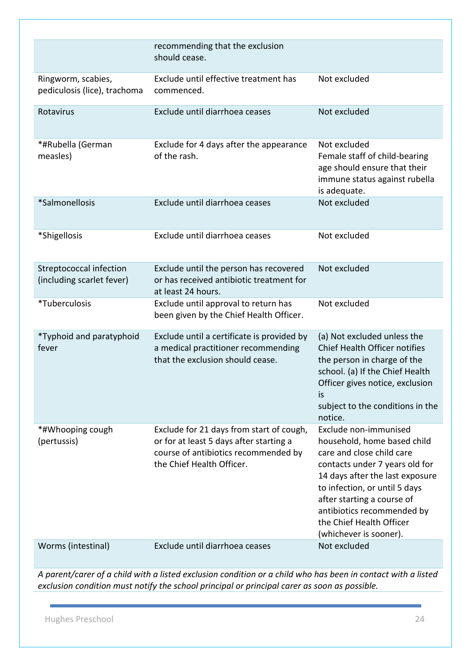|                                                      | recommending that the exclusion<br>should cease.                                                                                                         |                                                                                                                                                                                                                                                                                                           |
|------------------------------------------------------|----------------------------------------------------------------------------------------------------------------------------------------------------------|-----------------------------------------------------------------------------------------------------------------------------------------------------------------------------------------------------------------------------------------------------------------------------------------------------------|
| Ringworm, scabies,<br>pediculosis (lice), trachoma   | Exclude until effective treatment has<br>commenced.                                                                                                      | Not excluded                                                                                                                                                                                                                                                                                              |
| Rotavirus                                            | Exclude until diarrhoea ceases                                                                                                                           | Not excluded                                                                                                                                                                                                                                                                                              |
| *#Rubella (German<br>measles)                        | Exclude for 4 days after the appearance<br>of the rash.                                                                                                  | Not excluded<br>Female staff of child-bearing<br>age should ensure that their<br>immune status against rubella<br>is adequate.                                                                                                                                                                            |
| *Salmonellosis                                       | Exclude until diarrhoea ceases                                                                                                                           | Not excluded                                                                                                                                                                                                                                                                                              |
| *Shigellosis                                         | Exclude until diarrhoea ceases                                                                                                                           | Not excluded                                                                                                                                                                                                                                                                                              |
| Streptococcal infection<br>(including scarlet fever) | Exclude until the person has recovered<br>or has received antibiotic treatment for<br>at least 24 hours.                                                 | Not excluded                                                                                                                                                                                                                                                                                              |
| *Tuberculosis                                        | Exclude until approval to return has<br>been given by the Chief Health Officer.                                                                          | Not excluded                                                                                                                                                                                                                                                                                              |
| *Typhoid and paratyphoid<br>fever                    | Exclude until a certificate is provided by<br>a medical practitioner recommending<br>that the exclusion should cease.                                    | (a) Not excluded unless the<br>Chief Health Officer notifies<br>the person in charge of the<br>school. (a) If the Chief Health<br>Officer gives notice, exclusion<br>is<br>subject to the conditions in the<br>notice.                                                                                    |
| *#Whooping cough<br>(pertussis)                      | Exclude for 21 days from start of cough,<br>or for at least 5 days after starting a<br>course of antibiotics recommended by<br>the Chief Health Officer. | Exclude non-immunised<br>household, home based child<br>care and close child care<br>contacts under 7 years old for<br>14 days after the last exposure<br>to infection, or until 5 days<br>after starting a course of<br>antibiotics recommended by<br>the Chief Health Officer<br>(whichever is sooner). |
| Worms (intestinal)                                   | Exclude until diarrhoea ceases                                                                                                                           | Not excluded                                                                                                                                                                                                                                                                                              |

*A parent/carer of a child with a listed exclusion condition or a child who has been in contact with a listed exclusion condition must notify the school principal or principal carer as soon as possible.* 

Hughes Preschool 24